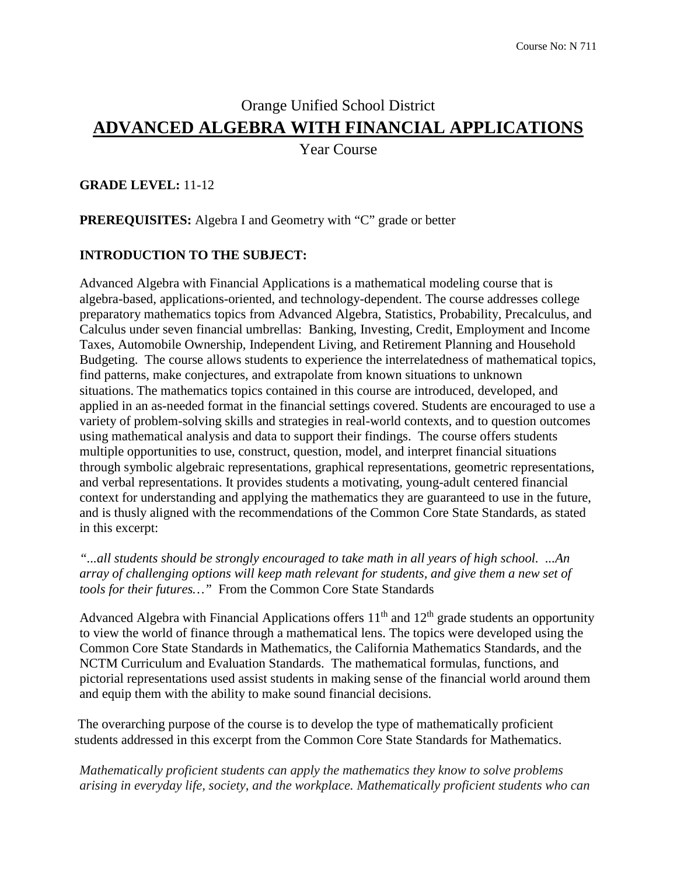# Orange Unified School District **ADVANCED ALGEBRA WITH FINANCIAL APPLICATIONS**

Year Course

#### **GRADE LEVEL:** 11-12

**PREREQUISITES:** Algebra I and Geometry with "C" grade or better

#### **INTRODUCTION TO THE SUBJECT:**

Advanced Algebra with Financial Applications is a mathematical modeling course that is algebra-based, applications-oriented, and technology-dependent. The course addresses college preparatory mathematics topics from Advanced Algebra, Statistics, Probability, Precalculus, and Calculus under seven financial umbrellas: Banking, Investing, Credit, Employment and Income Taxes, Automobile Ownership, Independent Living, and Retirement Planning and Household Budgeting. The course allows students to experience the interrelatedness of mathematical topics, find patterns, make conjectures, and extrapolate from known situations to unknown situations. The mathematics topics contained in this course are introduced, developed, and applied in an as-needed format in the financial settings covered. Students are encouraged to use a variety of problem-solving skills and strategies in real-world contexts, and to question outcomes using mathematical analysis and data to support their findings. The course offers students multiple opportunities to use, construct, question, model, and interpret financial situations through symbolic algebraic representations, graphical representations, geometric representations, and verbal representations. It provides students a motivating, young-adult centered financial context for understanding and applying the mathematics they are guaranteed to use in the future, and is thusly aligned with the recommendations of the Common Core State Standards, as stated in this excerpt:

*"...all students should be strongly encouraged to take math in all years of high school. ...An array of challenging options will keep math relevant for students, and give them a new set of tools for their futures…"* From the Common Core State Standards

Advanced Algebra with Financial Applications offers  $11<sup>th</sup>$  and  $12<sup>th</sup>$  grade students an opportunity to view the world of finance through a mathematical lens. The topics were developed using the Common Core State Standards in Mathematics, the California Mathematics Standards, and the NCTM Curriculum and Evaluation Standards. The mathematical formulas, functions, and pictorial representations used assist students in making sense of the financial world around them and equip them with the ability to make sound financial decisions.

The overarching purpose of the course is to develop the type of mathematically proficient students addressed in this excerpt from the Common Core State Standards for Mathematics.

*Mathematically proficient students can apply the mathematics they know to solve problems arising in everyday life, society, and the workplace. Mathematically proficient students who can*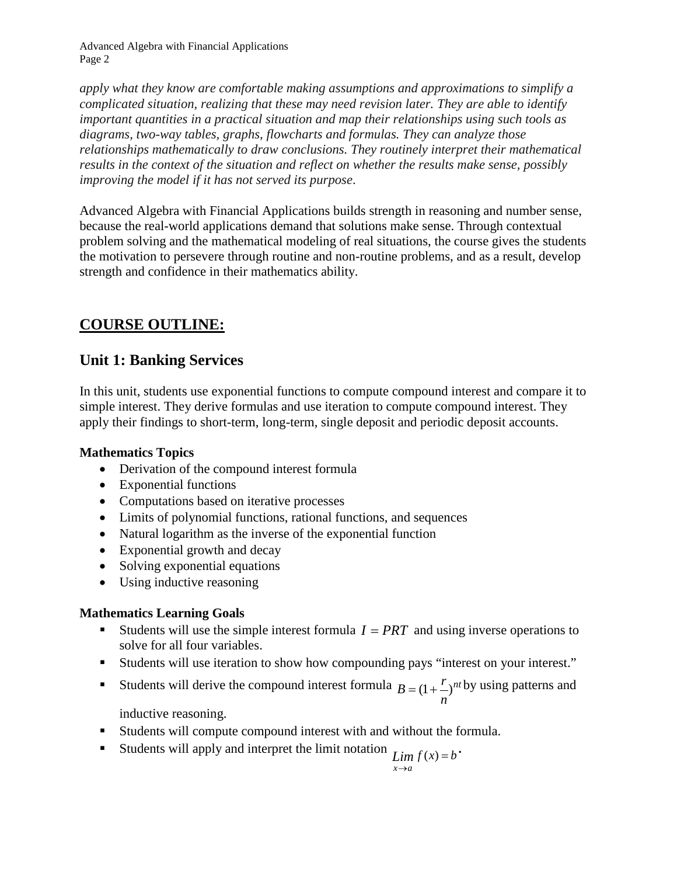*apply what they know are comfortable making assumptions and approximations to simplify a complicated situation, realizing that these may need revision later. They are able to identify important quantities in a practical situation and map their relationships using such tools as diagrams, two-way tables, graphs, flowcharts and formulas. They can analyze those relationships mathematically to draw conclusions. They routinely interpret their mathematical results in the context of the situation and reflect on whether the results make sense, possibly improving the model if it has not served its purpose*.

Advanced Algebra with Financial Applications builds strength in reasoning and number sense, because the real-world applications demand that solutions make sense. Through contextual problem solving and the mathematical modeling of real situations, the course gives the students the motivation to persevere through routine and non-routine problems, and as a result, develop strength and confidence in their mathematics ability.

# **COURSE OUTLINE:**

## **Unit 1: Banking Services**

In this unit, students use exponential functions to compute compound interest and compare it to simple interest. They derive formulas and use iteration to compute compound interest. They apply their findings to short-term, long-term, single deposit and periodic deposit accounts.

### **Mathematics Topics**

- Derivation of the compound interest formula
- Exponential functions
- Computations based on iterative processes
- Limits of polynomial functions, rational functions, and sequences
- Natural logarithm as the inverse of the exponential function
- Exponential growth and decay
- Solving exponential equations
- Using inductive reasoning

### **Mathematics Learning Goals**

- Students will use the simple interest formula  $I = PRT$  and using inverse operations to solve for all four variables.
- Students will use iteration to show how compounding pays "interest on your interest."
- Students will derive the compound interest formula  $B=(1+\frac{r}{2})^{nt}$ *n*  $B = (1 + \frac{r}{r})^{nt}$  by using patterns and

inductive reasoning.

- Students will compute compound interest with and without the formula.
- Students will apply and interpret the limit notation  $\lim_{x \to a} f(x) = b$ .

$$
\lim_{x \to a} s
$$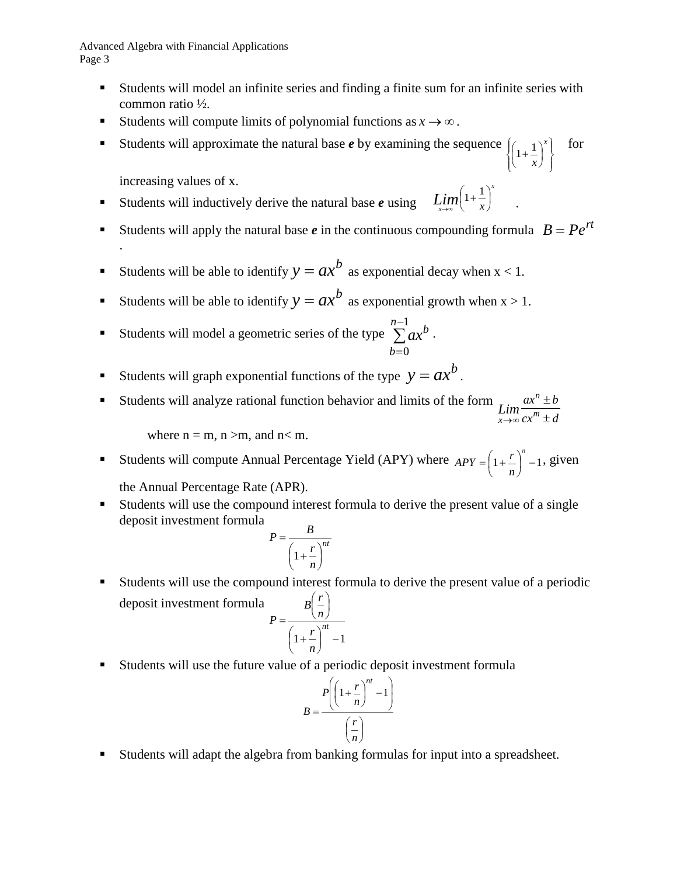- Students will model an infinite series and finding a finite sum for an infinite series with common ratio ½.
- Students will compute limits of polynomial functions as  $x \to \infty$ .
- Students will approximate the natural base *e* by examining the sequence  $\int$  $\left\{ \right.$  $\mathbf{I}$  $\overline{\mathcal{L}}$  $\left\{\left(1+\frac{1}{x}\right)\right\}$  $\left(1+\frac{1}{x}\right)^{x}$  $1 + \frac{1}{x}$ for

increasing values of x.

.

- Students will inductively derive the natural base *e* using .  $\lim_{x\to\infty} \left(1+\frac{1}{x}\right)$  $\Bigg(1+$  $\lim_{x \to \infty} \left(1 + \frac{1}{x}\right)$
- Students will apply the natural base *e* in the continuous compounding formula  $B = Pe^{rt}$

*x*

- Students will be able to identify  $y = ax^b$  as exponential decay when  $x < 1$ .
- Students will be able to identify  $y = ax^b$  as exponential growth when  $x > 1$ .
- Students will model a geometric series of the type  $\sum$  $\sum^{n-1} a x^b$ . = 0 *b*
- Students will graph exponential functions of the type  $y = ax^b$ .
- Students will analyze rational function behavior and limits of the form  $cx^m \pm d$  $ax^n \pm b$ *m n*  $\lim_{x\to\infty} \frac{dx}{cx^m}$ ± →∞

where  $n = m$ ,  $n > m$ , and  $n < m$ .

- Students will compute Annual Percentage Yield (APY) where  $APY = \left(1 + \frac{r}{n}\right)^n 1$ J  $=\left(1+\frac{r}{r}\right)^n$  $APY = \left(1 + \frac{r}{n}\right)^n - 1$ , given the Annual Percentage Rate (APR).
- Students will use the compound interest formula to derive the present value of a single deposit investment formula

$$
P = \frac{B}{\left(1 + \frac{r}{n}\right)^{nt}}
$$

 Students will use the compound interest formula to derive the present value of a periodic deposit investment formula  $\left(1+\frac{r}{n}\right)^{n}$  -1  $\left(1+\right)$  $\overline{\phantom{a}}$ J  $\left(\frac{r}{-}\right)$  $\overline{\mathcal{L}}$ ſ  $=\frac{\langle n \rangle}{\langle n \rangle^{nt}}$ *r n*  $B\left(\frac{r}{r}\right)$ *P*

*n* Students will use the future value of a periodic deposit investment formula

 $\setminus$ 

$$
B = \frac{P\left(\left(1 + \frac{r}{n}\right)^{nt} - 1\right)}{\left(\frac{r}{n}\right)}
$$

Students will adapt the algebra from banking formulas for input into a spreadsheet.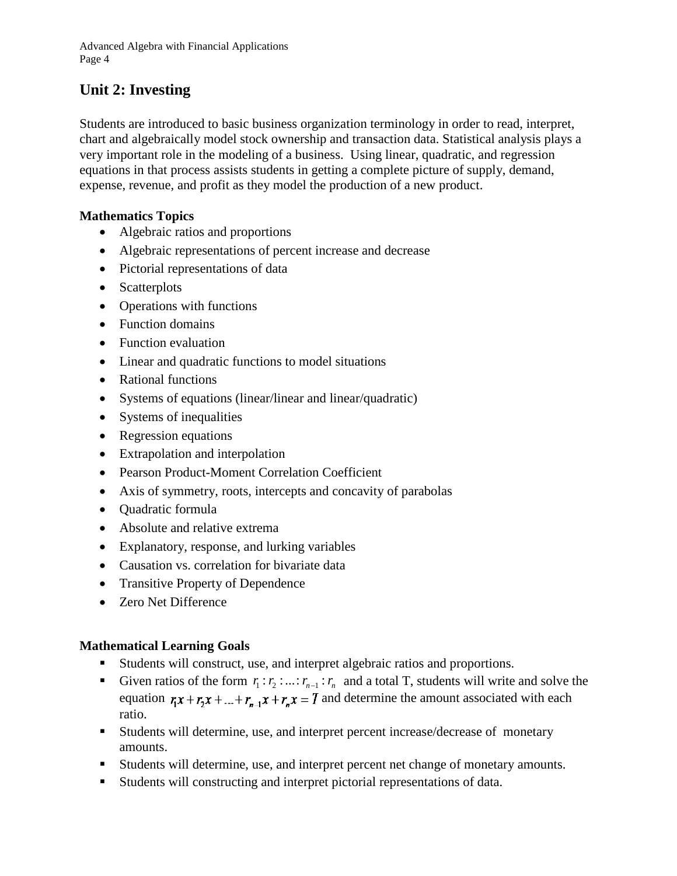## **Unit 2: Investing**

Students are introduced to basic business organization terminology in order to read, interpret, chart and algebraically model stock ownership and transaction data. Statistical analysis plays a very important role in the modeling of a business. Using linear, quadratic, and regression equations in that process assists students in getting a complete picture of supply, demand, expense, revenue, and profit as they model the production of a new product.

#### **Mathematics Topics**

- Algebraic ratios and proportions
- Algebraic representations of percent increase and decrease
- Pictorial representations of data
- Scatterplots
- Operations with functions
- Function domains
- Function evaluation
- Linear and quadratic functions to model situations
- Rational functions
- Systems of equations (linear/linear and linear/quadratic)
- Systems of inequalities
- Regression equations
- Extrapolation and interpolation
- Pearson Product-Moment Correlation Coefficient
- Axis of symmetry, roots, intercepts and concavity of parabolas
- Quadratic formula
- Absolute and relative extrema
- Explanatory, response, and lurking variables
- Causation vs. correlation for bivariate data
- Transitive Property of Dependence
- Zero Net Difference

#### **Mathematical Learning Goals**

- Students will construct, use, and interpret algebraic ratios and proportions.
- Given ratios of the form  $r_1 : r_2 : ... : r_{n-1} : r_n$  and a total T, students will write and solve the equation  $r_1x + r_2x + ... + r_{n-1}x + r_nx = T$  and determine the amount associated with each ratio.
- Students will determine, use, and interpret percent increase/decrease of monetary amounts.
- Students will determine, use, and interpret percent net change of monetary amounts.
- Students will constructing and interpret pictorial representations of data.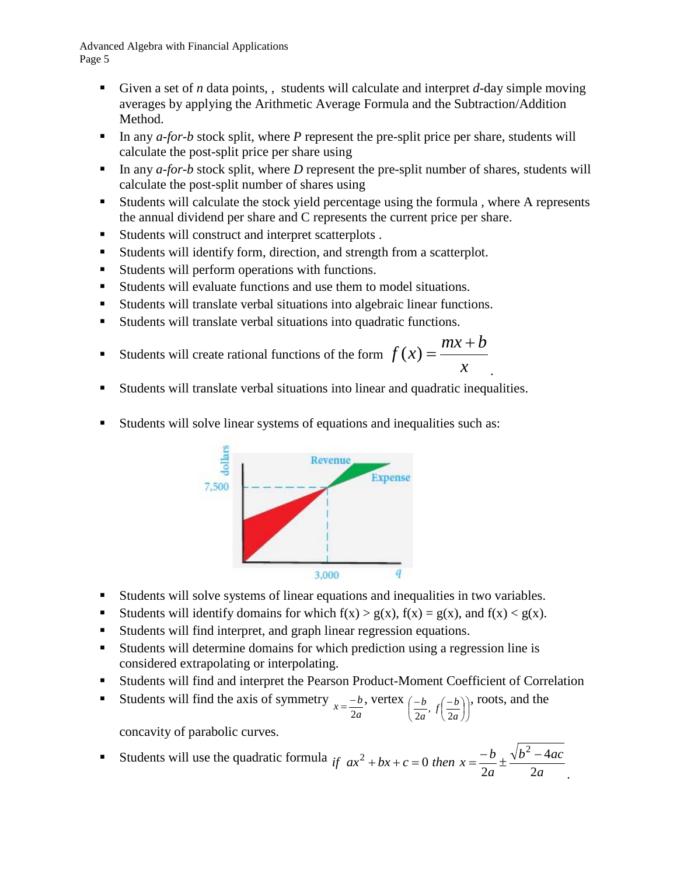- Given a set of *n* data points,, students will calculate and interpret  $d$ -day simple moving averages by applying the Arithmetic Average Formula and the Subtraction/Addition Method.
- In any  $a$ -for-b stock split, where P represent the pre-split price per share, students will calculate the post-split price per share using
- In any  $a$ -for-b stock split, where D represent the pre-split number of shares, students will calculate the post-split number of shares using
- Students will calculate the stock yield percentage using the formula , where A represents the annual dividend per share and C represents the current price per share.
- Students will construct and interpret scatterplots .
- Students will identify form, direction, and strength from a scatterplot.
- Students will perform operations with functions.
- Students will evaluate functions and use them to model situations.
- Students will translate verbal situations into algebraic linear functions.
- Students will translate verbal situations into quadratic functions.
- Students will create rational functions of the form *x*  $f(x) = \frac{mx + b}{m}$ .
- Students will translate verbal situations into linear and quadratic inequalities.
- Students will solve linear systems of equations and inequalities such as:



- Students will solve systems of linear equations and inequalities in two variables.
- Students will identify domains for which  $f(x) > g(x)$ ,  $f(x) = g(x)$ , and  $f(x) < g(x)$ .
- Students will find interpret, and graph linear regression equations.
- Students will determine domains for which prediction using a regression line is considered extrapolating or interpolating.
- Students will find and interpret the Pearson Product-Moment Coefficient of Correlation
- Students will find the axis of symmetry  $x = \frac{-b}{2a}$ , vertex  $\left(\frac{-b}{2a}, f\left(\frac{-b}{2a}\right)\right)$ J  $\left(\frac{-b}{a}, f\left(\frac{-b}{b}\right)\right)$  $\left(\frac{-b}{2a}, f\left(\frac{-b}{2a}\right)\right)$  $-b \int_{-c}$  –  $\frac{-b}{2a}$ ,  $f\left(\frac{-b}{2a}\right)$ , roots, and the

concavity of parabolic curves.

**5** Students will use the quadratic formula if 
$$
ax^2 + bx + c = 0
$$
 then  $x = \frac{-b}{2a} \pm \frac{\sqrt{b^2 - 4ac}}{2a}$ .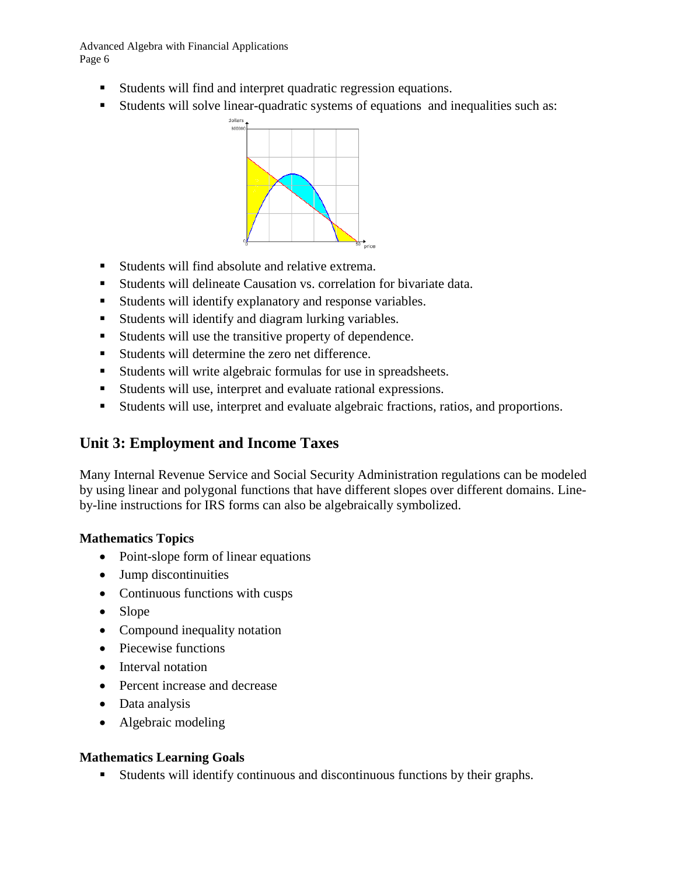- Students will find and interpret quadratic regression equations.
- Students will solve linear-quadratic systems of equations and inequalities such as:



- Students will find absolute and relative extrema.
- Students will delineate Causation vs. correlation for bivariate data.
- Students will identify explanatory and response variables.
- Students will identify and diagram lurking variables.
- Students will use the transitive property of dependence.
- Students will determine the zero net difference.
- Students will write algebraic formulas for use in spreadsheets.
- Students will use, interpret and evaluate rational expressions.
- Students will use, interpret and evaluate algebraic fractions, ratios, and proportions.

## **Unit 3: Employment and Income Taxes**

Many Internal Revenue Service and Social Security Administration regulations can be modeled by using linear and polygonal functions that have different slopes over different domains. Lineby-line instructions for IRS forms can also be algebraically symbolized.

#### **Mathematics Topics**

- Point-slope form of linear equations
- Jump discontinuities
- Continuous functions with cusps
- Slope
- Compound inequality notation
- Piecewise functions
- Interval notation
- Percent increase and decrease
- Data analysis
- Algebraic modeling

#### **Mathematics Learning Goals**

Students will identify continuous and discontinuous functions by their graphs.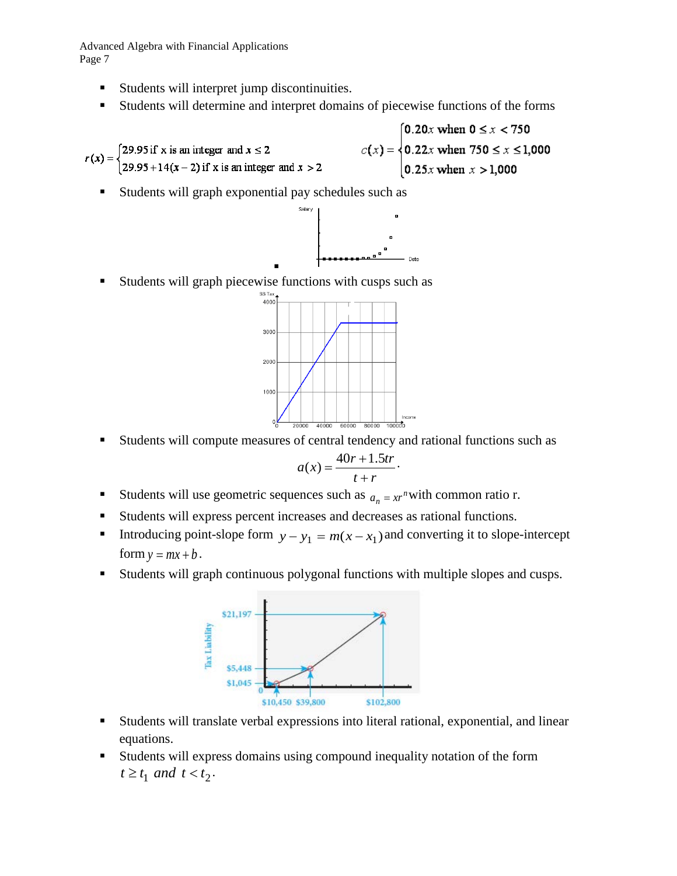- Students will interpret jump discontinuities.
- Students will determine and interpret domains of piecewise functions of the forms

0.20x when  $0 \le x < 750$  $c(x) = \begin{cases} 0.22x \text{ when } 750 \le x \le 1,000 \\ 0.25x \text{ when } x > 1,000 \end{cases}$  $r(x) = \begin{cases} 29.95 \text{ if } x \text{ is an integer and } x \le 2 \\ 29.95 + 14(x - 2) \text{ if } x \text{ is an integer and } x > 2 \end{cases}$ 

Students will graph exponential pay schedules such as



. Students will graph piecewise functions with cusps such as



Students will compute measures of central tendency and rational functions such as

$$
a(x) = \frac{40r + 1.5tr}{t + r}.
$$

- Students will use geometric sequences such as  $a_n = xr^n$  with common ratio r.
- Students will express percent increases and decreases as rational functions.
- Introducing point-slope form  $y y_1 = m(x x_1)$  and converting it to slope-intercept form  $y = mx + b$ .
- Students will graph continuous polygonal functions with multiple slopes and cusps.



- Students will translate verbal expressions into literal rational, exponential, and linear equations.
- Students will express domains using compound inequality notation of the form  $t \geq t_1$  *and*  $t < t_2$ .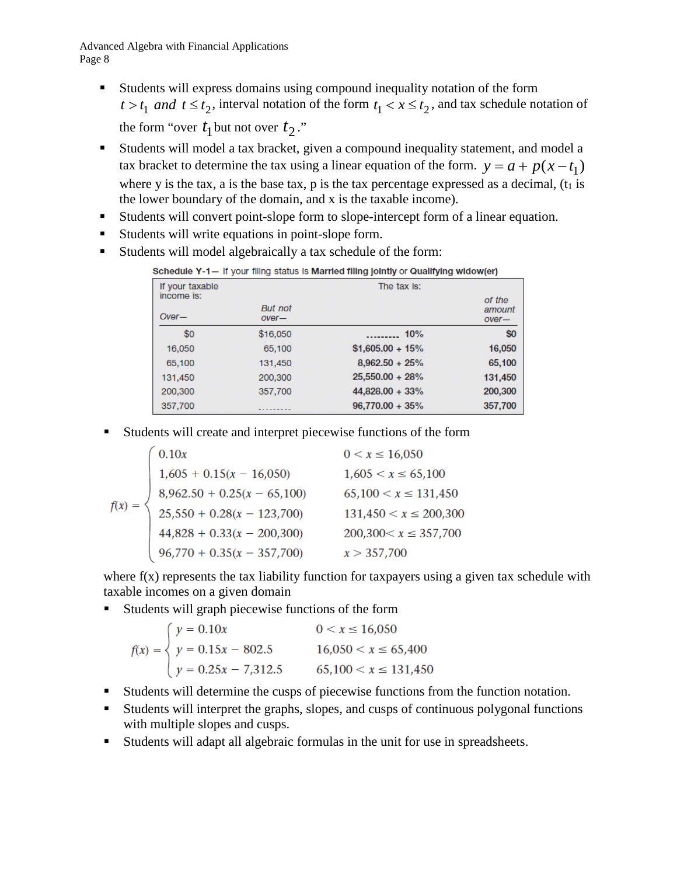- Students will express domains using compound inequality notation of the form  $t > t_1$  and  $t \le t_2$ , interval notation of the form  $t_1 < x \le t_2$ , and tax schedule notation of the form "over  $t_1$  but not over  $t_2$ ."
- Students will model a tax bracket, given a compound inequality statement, and model a tax bracket to determine the tax using a linear equation of the form.  $y = a + p(x - t_1)$ where y is the tax, a is the base tax, p is the tax percentage expressed as a decimal,  $(t_1$  is the lower boundary of the domain, and x is the taxable income).
- Students will convert point-slope form to slope-intercept form of a linear equation.
- Students will write equations in point-slope form.
- Students will model algebraically a tax schedule of the form:

| If your taxable<br>income is: | The tax is:               |                    |                             |
|-------------------------------|---------------------------|--------------------|-----------------------------|
| $Over-$                       | <b>But not</b><br>$over-$ |                    | of the<br>amount<br>$over-$ |
| \$0                           | \$16,050                  | . 10%              | \$0                         |
| 16,050                        | 65.100                    | $$1,605.00 + 15\%$ | 16,050                      |
| 65,100                        | 131,450                   | $8,962.50 + 25%$   | 65,100                      |
| 131,450                       | 200,300                   | $25,550.00 + 28%$  | 131,450                     |
| 200,300                       | 357,700                   | 44,828.00 + 33%    | 200,300                     |
| 357,700                       |                           | $96,770.00 + 35\%$ | 357,700                     |

Students will create and interpret piecewise functions of the form

| 0.10x                                                       | $0 < x \le 16,050$         |
|-------------------------------------------------------------|----------------------------|
| $1,605 + 0.15(x - 16,050)$                                  | $1,605 < x \le 65,100$     |
| $8,962.50 + 0.25(x - 65,100)$<br>25,550 + 0.28(x - 123,700) | $65,100 < x \leq 131,450$  |
|                                                             | $131,450 < x \le 200,300$  |
| $44,828 + 0.33(x - 200,300)$                                | $200,300 < x \leq 357,700$ |
| $96,770 + 0.35(x - 357,700)$                                | x > 357,700                |

where  $f(x)$  represents the tax liability function for taxpayers using a given tax schedule with taxable incomes on a given domain

Students will graph piecewise functions of the form

$$
f(x) = \begin{cases} y = 0.10x & 0 < x \le 16,050 \\ y = 0.15x - 802.5 & 16,050 < x \le 65,400 \\ y = 0.25x - 7,312.5 & 65,100 < x \le 131,450 \end{cases}
$$

- Students will determine the cusps of piecewise functions from the function notation.
- Students will interpret the graphs, slopes, and cusps of continuous polygonal functions with multiple slopes and cusps.
- Students will adapt all algebraic formulas in the unit for use in spreadsheets.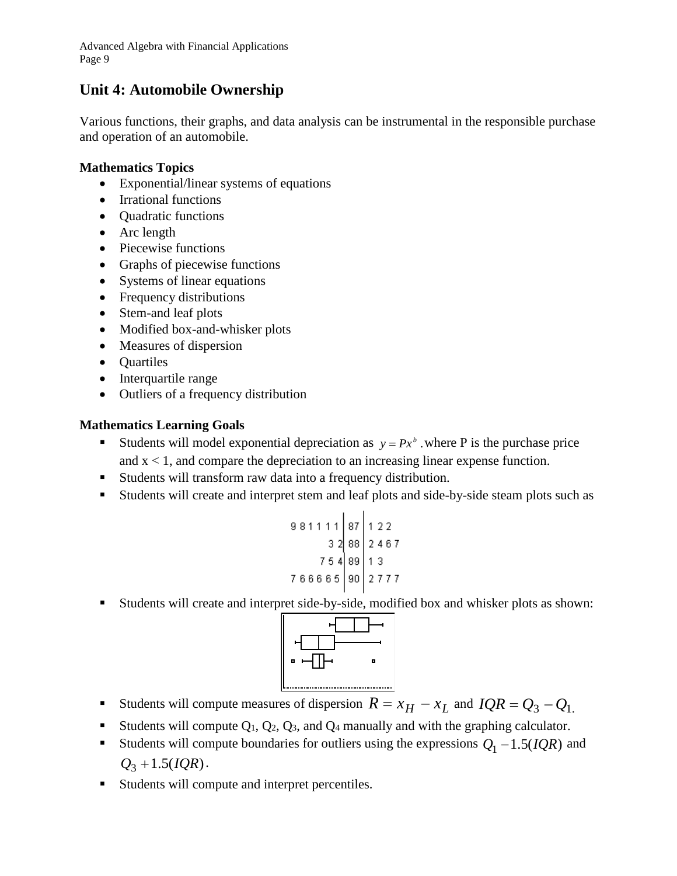## **Unit 4: Automobile Ownership**

Various functions, their graphs, and data analysis can be instrumental in the responsible purchase and operation of an automobile.

#### **Mathematics Topics**

- Exponential/linear systems of equations
- Irrational functions
- Quadratic functions
- Arc length
- Piecewise functions
- Graphs of piecewise functions
- Systems of linear equations
- Frequency distributions
- Stem-and leaf plots
- Modified box-and-whisker plots
- Measures of dispersion
- Quartiles
- Interquartile range
- Outliers of a frequency distribution

### **Mathematics Learning Goals**

- Students will model exponential depreciation as  $y = Px^b$  where P is the purchase price and  $x < 1$ , and compare the depreciation to an increasing linear expense function.
- Students will transform raw data into a frequency distribution.
- Students will create and interpret stem and leaf plots and side-by-side steam plots such as

$$
\begin{array}{r|l|l}981111 & 87 & 122 \\ \hline & 32 & 88 & 2467 \\ \hline & 754 & 89 & 13 \\ \hline & 766665 & 90 & 2777 \end{array}
$$

Students will create and interpret side-by-side, modified box and whisker plots as shown:



- Students will compute measures of dispersion  $R = x_H x_L$  and  $IQR = Q_3 Q_1$ .
- Students will compute  $Q_1$ ,  $Q_2$ ,  $Q_3$ , and  $Q_4$  manually and with the graphing calculator.
- Students will compute boundaries for outliers using the expressions  $Q_1 1.5(IQR)$  and  $Q_3 + 1.5(IQR)$ .
- Students will compute and interpret percentiles.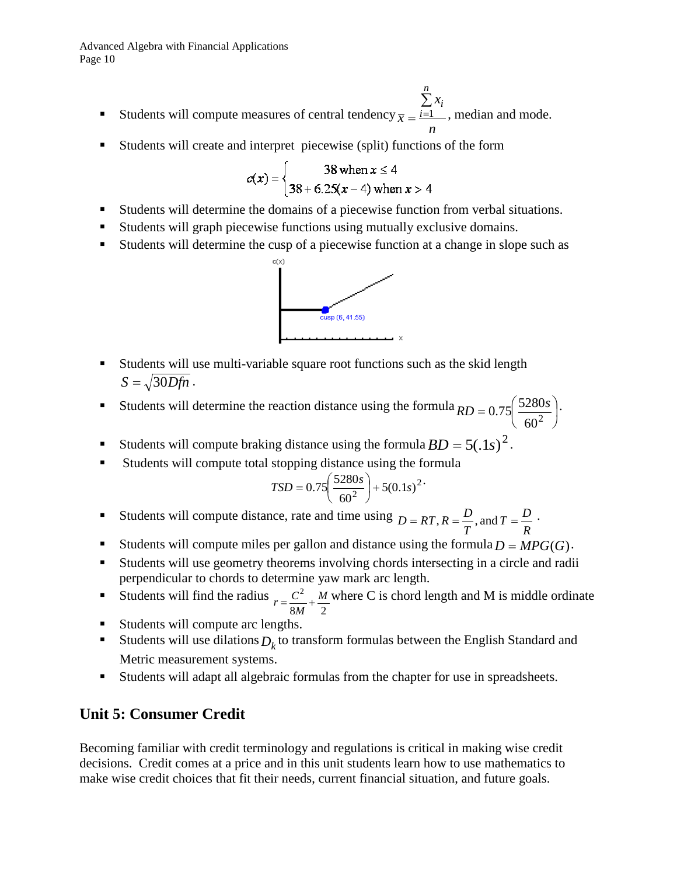- **Students will compute measures of central tendency** *n x x n*  $\sum_{i=1}^{n} x_i$ , median and mode.
- Students will create and interpret piecewise (split) functions of the form

$$
c(x) = \begin{cases} 38 \text{ when } x \le 4 \\ 38 + 6.25(x - 4) \text{ when } x > 4 \end{cases}
$$

- Students will determine the domains of a piecewise function from verbal situations.
- Students will graph piecewise functions using mutually exclusive domains.
- Students will determine the cusp of a piecewise function at a change in slope such as



- Students will use multi-variable square root functions such as the skid length  $S = \sqrt{30Dfn}$ .
- Students will determine the reaction distance using the formula  $RD = 0.75 \left( \frac{5280s}{r^2} \right)$ J  $\left(\frac{5280s}{2}\right)$  $RD = 0.75 \left( \frac{5280s}{60^2} \right)$ .
- Students will compute braking distance using the formula  $BD = 5(.1s)^2$ .
- Students will compute total stopping distance using the formula

$$
TSD = 0.75 \left( \frac{5280s}{60^2} \right) + 5(0.1s)^2
$$

- Students will compute distance, rate and time using *R*  $T = \frac{D}{D}$ *T*  $D = RT, R = \frac{D}{T}$ , and  $T = \frac{D}{T}$ .
- Students will compute miles per gallon and distance using the formula  $D = MPG(G)$ .
- Students will use geometry theorems involving chords intersecting in a circle and radii perpendicular to chords to determine yaw mark arc length.
- **Students will find the radius** 8M 2 <sup>2</sup> *M*  $r = \frac{C^2}{8M} + \frac{M}{2}$  where C is chord length and M is middle ordinate
- Students will compute arc lengths.
- Students will use dilations  $D_k$  to transform formulas between the English Standard and Metric measurement systems.
- Students will adapt all algebraic formulas from the chapter for use in spreadsheets.

## **Unit 5: Consumer Credit**

Becoming familiar with credit terminology and regulations is critical in making wise credit decisions. Credit comes at a price and in this unit students learn how to use mathematics to make wise credit choices that fit their needs, current financial situation, and future goals.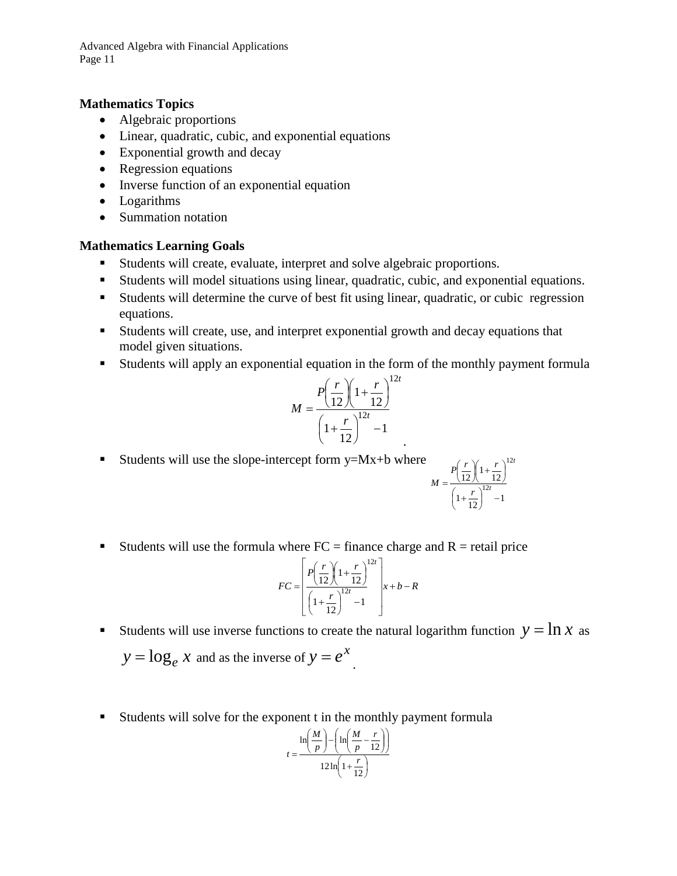#### **Mathematics Topics**

- Algebraic proportions
- Linear, quadratic, cubic, and exponential equations
- Exponential growth and decay
- Regression equations
- Inverse function of an exponential equation
- Logarithms
- Summation notation

#### **Mathematics Learning Goals**

- Students will create, evaluate, interpret and solve algebraic proportions.
- Students will model situations using linear, quadratic, cubic, and exponential equations.
- Students will determine the curve of best fit using linear, quadratic, or cubic regression equations.
- Students will create, use, and interpret exponential growth and decay equations that model given situations.
- Students will apply an exponential equation in the form of the monthly payment formula

*t*

.

$$
M = \frac{P\left(\frac{r}{12}\right)\left(1 + \frac{r}{12}\right)^{12}}{\left(1 + \frac{r}{12}\right)^{12t} - 1}
$$

Students will use the slope-intercept form  $y = Mx + b$  where

$$
M = \frac{P\left(\frac{r}{12}\right)\left(1+\frac{r}{12}\right)^{12t}}{\left(1+\frac{r}{12}\right)^{12t} - 1}
$$

Students will use the formula where  $FC =$  finance charge and  $R =$  retail price

$$
FC = \left[ \frac{P\left(\frac{r}{12}\right)\left(1+\frac{r}{12}\right)^{12t}}{\left(1+\frac{r}{12}\right)^{12t} - 1} \right]x + b - R
$$

- Students will use inverse functions to create the natural logarithm function  $y = \ln x$  as  $y = \log_e x$  and as the inverse of  $y = e^x$ .
- Students will solve for the exponent t in the monthly payment formula

$$
t = \frac{\ln\left(\frac{M}{p}\right) - \left(\ln\left(\frac{M}{p} - \frac{r}{12}\right)\right)}{12\ln\left(1 + \frac{r}{12}\right)}
$$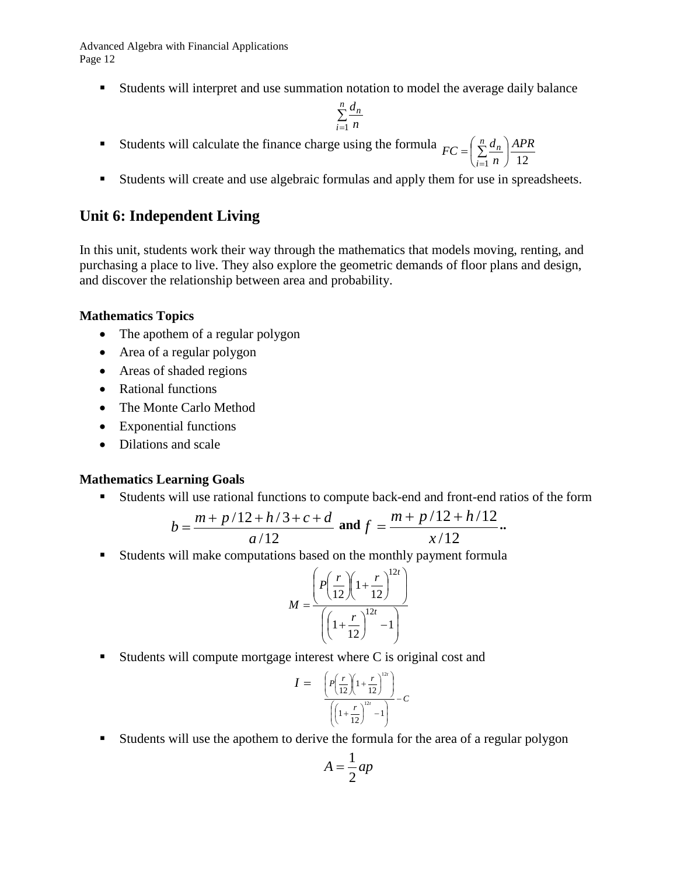Students will interpret and use summation notation to model the average daily balance

$$
\sum_{i=1}^n \frac{d_n}{n}
$$

- Students will calculate the finance charge using the formula  $\frac{1}{1} n$  ) 12 *APR n*  $FC = \left(\sum_{n=1}^{n} \frac{d}{dx}\right)$ *i n* J  $\left(\frac{n}{\sum}d_n\right)$  $\setminus$  $=\left(\begin{array}{c} n \\ \sum \end{array}\right)$ =
- Students will create and use algebraic formulas and apply them for use in spreadsheets.

## **Unit 6: Independent Living**

In this unit, students work their way through the mathematics that models moving, renting, and purchasing a place to live. They also explore the geometric demands of floor plans and design, and discover the relationship between area and probability.

#### **Mathematics Topics**

- The apothem of a regular polygon
- Area of a regular polygon
- Areas of shaded regions
- Rational functions
- The Monte Carlo Method
- Exponential functions
- Dilations and scale

#### **Mathematics Learning Goals**

Students will use rational functions to compute back-end and front-end ratios of the form

$$
b = \frac{m + p/12 + h/3 + c + d}{a/12}
$$
 and  $f = \frac{m + p/12 + h/12}{x/12}$ .

Students will make computations based on the monthly payment formula

$$
M = \frac{\left(P\left(\frac{r}{12}\right)\left(1+\frac{r}{12}\right)^{12t}\right)}{\left(\left(1+\frac{r}{12}\right)^{12t}-1\right)}
$$

Students will compute mortgage interest where  $C$  is original cost and

$$
I = \frac{\left(P\left(\frac{r}{12}\right)\left(1+\frac{r}{12}\right)^{12}\right)}{\left(\left(1+\frac{r}{12}\right)^{12r}-1\right)} - C
$$

Students will use the apothem to derive the formula for the area of a regular polygon

$$
A = \frac{1}{2}ap
$$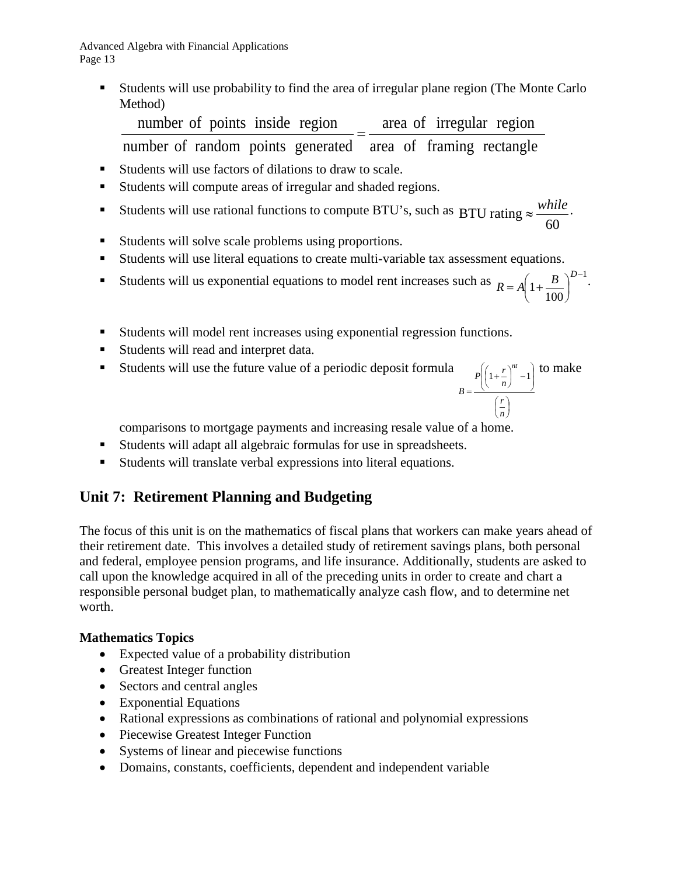Students will use probability to find the area of irregular plane region (The Monte Carlo Method)

number of random points generated area of framing rectangle number of points inside region  $=$   $\frac{\text{area of irregular region}}{\text{area of a triangle}}$ 

- Students will use factors of dilations to draw to scale.
- Students will compute areas of irregular and shaded regions.
- Students will use rational functions to compute BTU's, such as 60 BTU rating  $\approx \frac{while}{60}$ .
- Students will solve scale problems using proportions.
- Students will use literal equations to create multi-variable tax assessment equations.
- Students will us exponential equations to model rent increases such as  $R = \left( \begin{array}{cc} 1 & B \end{array} \right)^{D-1}$ 1 −  $\overline{\phantom{a}}$  $\left(1+\frac{B}{100}\right)$  $R = A \left( 1 + \frac{B}{100} \right)^{D-1}$ .
- Students will model rent increases using exponential regression functions.
- Students will read and interpret data.
- Students will use the future value of a periodic deposit formula

$$
B = \frac{P\left(\left(1 + \frac{r}{n}\right)^{nt} - 1\right)}{\left(\frac{r}{n}\right)}
$$
to make

100

 $\setminus$ 

J

comparisons to mortgage payments and increasing resale value of a home.

- Students will adapt all algebraic formulas for use in spreadsheets.
- Students will translate verbal expressions into literal equations.

## **Unit 7: Retirement Planning and Budgeting**

The focus of this unit is on the mathematics of fiscal plans that workers can make years ahead of their retirement date. This involves a detailed study of retirement savings plans, both personal and federal, employee pension programs, and life insurance. Additionally, students are asked to call upon the knowledge acquired in all of the preceding units in order to create and chart a responsible personal budget plan, to mathematically analyze cash flow, and to determine net worth.

#### **Mathematics Topics**

- Expected value of a probability distribution
- Greatest Integer function
- Sectors and central angles
- Exponential Equations
- Rational expressions as combinations of rational and polynomial expressions
- Piecewise Greatest Integer Function
- Systems of linear and piecewise functions
- Domains, constants, coefficients, dependent and independent variable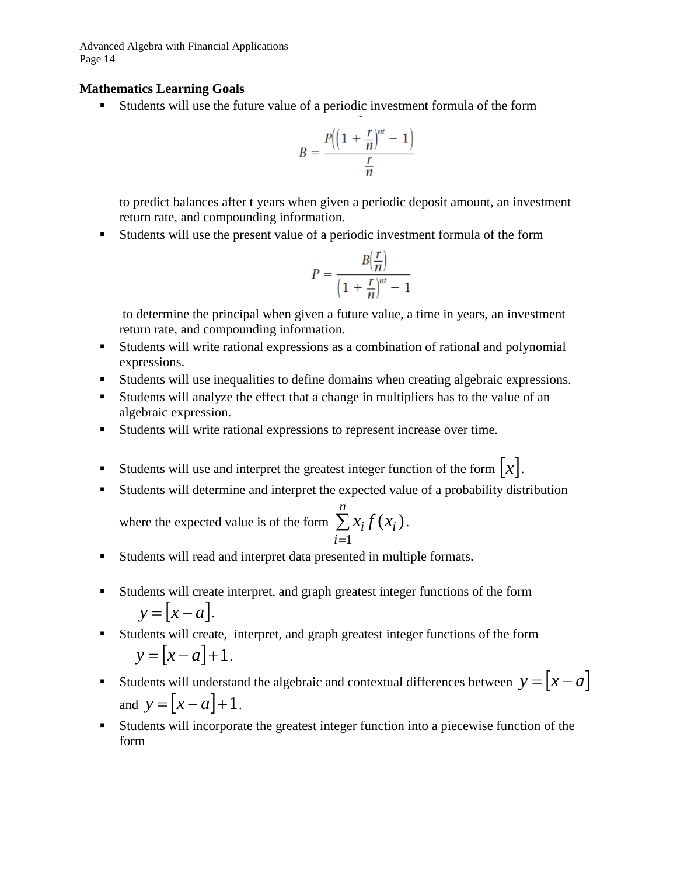#### **Mathematics Learning Goals**

Students will use the future value of a periodic investment formula of the form

$$
B = \frac{P\left(\left(1 + \frac{r}{n}\right)^{nt} - 1\right)}{\frac{r}{n}}
$$

to predict balances after t years when given a periodic deposit amount, an investment return rate, and compounding information.

Students will use the present value of a periodic investment formula of the form

$$
P = \frac{B(\frac{r}{n})}{\left(1 + \frac{r}{n}\right)^{nt} - 1}
$$

to determine the principal when given a future value, a time in years, an investment return rate, and compounding information.

- Students will write rational expressions as a combination of rational and polynomial expressions.
- Students will use inequalities to define domains when creating algebraic expressions.
- Students will analyze the effect that a change in multipliers has to the value of an algebraic expression.
- Students will write rational expressions to represent increase over time.
- Students will use and interpret the greatest integer function of the form  $x$ .
- Students will determine and interpret the expected value of a probability distribution

where the expected value is of the form  $\sum x_i f(x_i)$ 1 *i n*  $\sum_{i=1}$  *x*<sub>*i*</sub>  $f(x_i)$ .

- Students will read and interpret data presented in multiple formats.
- Students will create interpret, and graph greatest integer functions of the form  $y = \lfloor x - a \rfloor$ .
- Students will create, interpret, and graph greatest integer functions of the form  $y = [x - a] + 1$ .
- Students will understand the algebraic and contextual differences between  $y = [x a]$ and  $y = [x - a] + 1$ .
- Students will incorporate the greatest integer function into a piecewise function of the form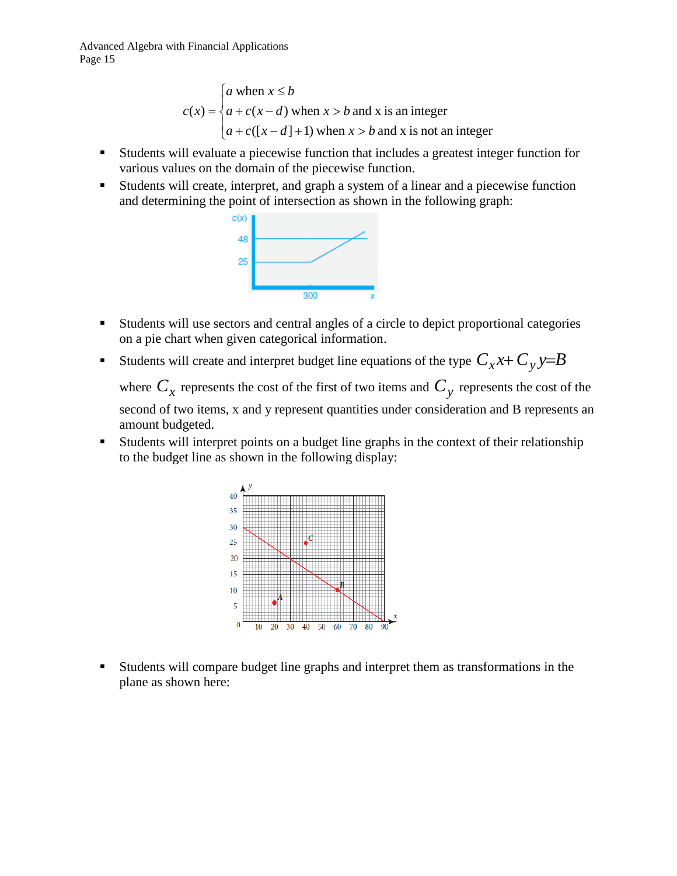> $\overline{\mathcal{L}}$  $\mathbf{I}$ ₹  $\left\lceil \right\rceil$  $+ c([x-d]+1)$  when  $x >$  $+ c(x-d)$  when  $x >$ ≤ =  $([x-d]+1)$  when  $x > b$  and x is not an integer  $(x - d)$  when  $x > b$  and x is an integer when  $\left( x\right)$  $a + c([x - d] + 1)$  when  $x > b$  $a + c(x - d)$  when  $x > b$ *a* when  $x \leq b$ *c x*

- Students will evaluate a piecewise function that includes a greatest integer function for various values on the domain of the piecewise function.
- Students will create, interpret, and graph a system of a linear and a piecewise function and determining the point of intersection as shown in the following graph:



- Students will use sectors and central angles of a circle to depict proportional categories on a pie chart when given categorical information.
- Students will create and interpret budget line equations of the type  $C_x x + C_y y = B$

where  $C_x$  represents the cost of the first of two items and  $C_y$  represents the cost of the second of two items, x and y represent quantities under consideration and B represents an amount budgeted.

 Students will interpret points on a budget line graphs in the context of their relationship to the budget line as shown in the following display:



 Students will compare budget line graphs and interpret them as transformations in the plane as shown here: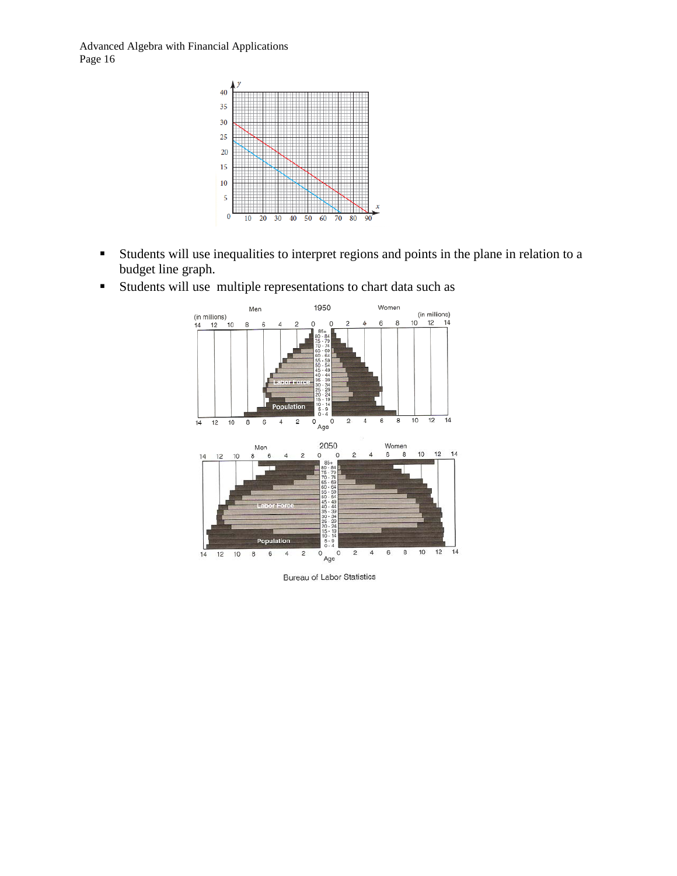

- Students will use inequalities to interpret regions and points in the plane in relation to a budget line graph.
	- 1950 Women Men (in millions)<br>10 12 14  $6\overline{6}$ 8  $\overline{0}$ 8 6  $\overline{A}$ <sup>n</sup> s  $\circ$ o 84797469459549443934294944 45<br>40<br>35<br>30 Population  $\overline{\circ}$   $\overline{\circ}$   $\overline{\circ}$  $10$  $\overline{12}$  $\frac{1}{14}$  $\overline{6}$  $\bf{8}$  $\frac{6}{14}$  $\overline{2}$  $\sqrt{4}$  $\overline{12}$  $10$ 8  $\sqrt{6}$  $\overline{4}$  $\mathbf 2$  $\begin{array}{c} \text{Women} \\ 6 & 8 \end{array}$ 2050 Men  $12 \t14$  $10\,$  $\mathsf{o}$  $12$  $10$  $\,$  6  $\overline{4}$  $\overline{c}$  $\circ$  $\overline{c}$  $\overline{4}$  $14$  $\frac{3}{2}$   $\frac{3}{2}$   $\frac{3}{2}$   $\frac{3}{2}$   $\frac{3}{2}$   $\frac{3}{2}$   $\frac{3}{2}$   $\frac{3}{2}$   $\frac{3}{2}$   $\frac{3}{2}$   $\frac{3}{2}$   $\frac{3}{2}$   $\frac{3}{2}$   $\frac{3}{2}$   $\frac{3}{2}$   $\frac{3}{2}$   $\frac{3}{2}$   $\frac{3}{2}$   $\frac{3}{2}$   $\frac{3}{2}$   $\frac{3}{2}$   $\frac{3}{2}$  Population  $\sqrt{6}$  $^{\rm 8}$  $10<sup>°</sup>$  $12$  $14$  $6\overline{6}$  $^{\circ}$  Age  $^{\circ}$  $\overline{4}$  $\sqrt{4}$  $\overline{2}$  $14$  $12 \t 10$  $^{\rm 8}$  $\overline{\mathbf{c}}$
- Students will use multiple representations to chart data such as

**Bureau of Labor Statistics**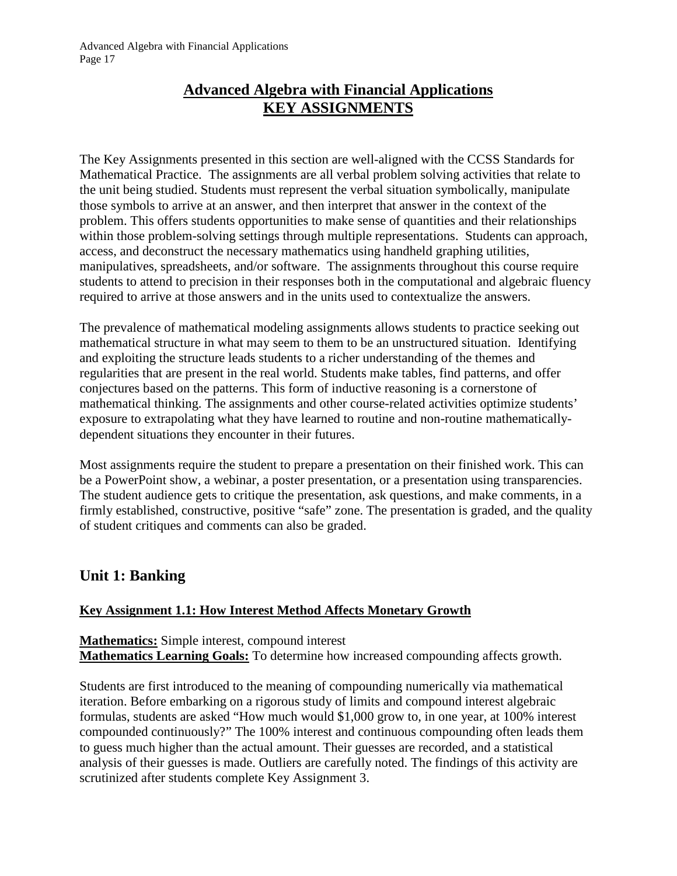## **Advanced Algebra with Financial Applications KEY ASSIGNMENTS**

The Key Assignments presented in this section are well-aligned with the CCSS Standards for Mathematical Practice. The assignments are all verbal problem solving activities that relate to the unit being studied. Students must represent the verbal situation symbolically, manipulate those symbols to arrive at an answer, and then interpret that answer in the context of the problem. This offers students opportunities to make sense of quantities and their relationships within those problem-solving settings through multiple representations. Students can approach, access, and deconstruct the necessary mathematics using handheld graphing utilities, manipulatives, spreadsheets, and/or software. The assignments throughout this course require students to attend to precision in their responses both in the computational and algebraic fluency required to arrive at those answers and in the units used to contextualize the answers.

The prevalence of mathematical modeling assignments allows students to practice seeking out mathematical structure in what may seem to them to be an unstructured situation. Identifying and exploiting the structure leads students to a richer understanding of the themes and regularities that are present in the real world. Students make tables, find patterns, and offer conjectures based on the patterns. This form of inductive reasoning is a cornerstone of mathematical thinking. The assignments and other course-related activities optimize students' exposure to extrapolating what they have learned to routine and non-routine mathematicallydependent situations they encounter in their futures.

Most assignments require the student to prepare a presentation on their finished work. This can be a PowerPoint show, a webinar, a poster presentation, or a presentation using transparencies. The student audience gets to critique the presentation, ask questions, and make comments, in a firmly established, constructive, positive "safe" zone. The presentation is graded, and the quality of student critiques and comments can also be graded.

## **Unit 1: Banking**

#### **Key Assignment 1.1: How Interest Method Affects Monetary Growth**

**Mathematics:** Simple interest, compound interest **Mathematics Learning Goals:** To determine how increased compounding affects growth.

Students are first introduced to the meaning of compounding numerically via mathematical iteration. Before embarking on a rigorous study of limits and compound interest algebraic formulas, students are asked "How much would \$1,000 grow to, in one year, at 100% interest compounded continuously?" The 100% interest and continuous compounding often leads them to guess much higher than the actual amount. Their guesses are recorded, and a statistical analysis of their guesses is made. Outliers are carefully noted. The findings of this activity are scrutinized after students complete Key Assignment 3.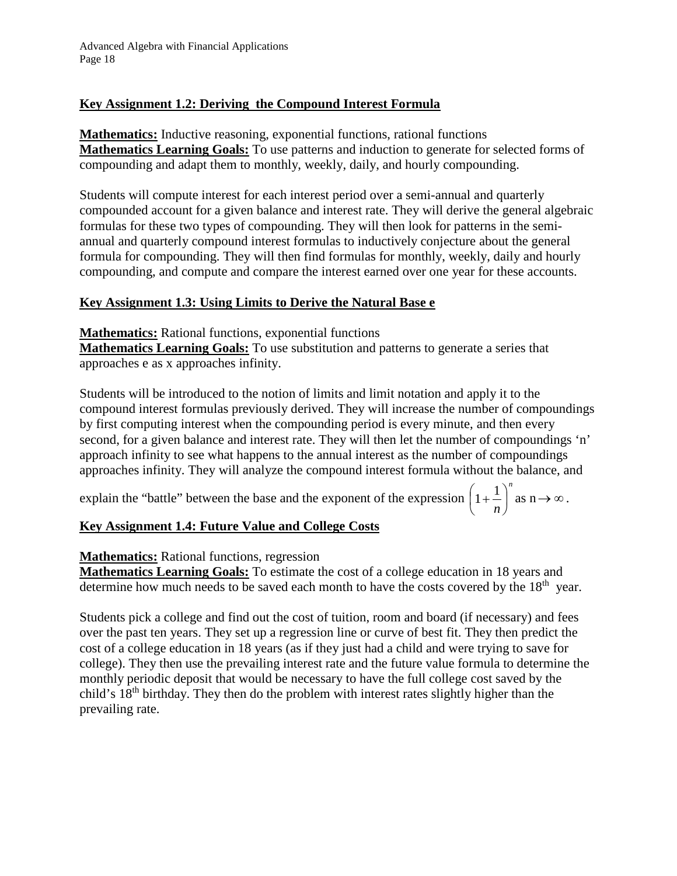### **Key Assignment 1.2: Deriving the Compound Interest Formula**

**Mathematics:** Inductive reasoning, exponential functions, rational functions **Mathematics Learning Goals:** To use patterns and induction to generate for selected forms of compounding and adapt them to monthly, weekly, daily, and hourly compounding.

Students will compute interest for each interest period over a semi-annual and quarterly compounded account for a given balance and interest rate. They will derive the general algebraic formulas for these two types of compounding. They will then look for patterns in the semiannual and quarterly compound interest formulas to inductively conjecture about the general formula for compounding. They will then find formulas for monthly, weekly, daily and hourly compounding, and compute and compare the interest earned over one year for these accounts.

#### **Key Assignment 1.3: Using Limits to Derive the Natural Base e**

**Mathematics:** Rational functions, exponential functions

**Mathematics Learning Goals:** To use substitution and patterns to generate a series that approaches e as x approaches infinity.

Students will be introduced to the notion of limits and limit notation and apply it to the compound interest formulas previously derived. They will increase the number of compoundings by first computing interest when the compounding period is every minute, and then every second, for a given balance and interest rate. They will then let the number of compoundings 'n' approach infinity to see what happens to the annual interest as the number of compoundings approaches infinity. They will analyze the compound interest formula without the balance, and

explain the "battle" between the base and the exponent of the expression *n n*  $\overline{\phantom{a}}$ J  $\left(1+\frac{1}{\cdot}\right)$  $\setminus$  $\left(1+\frac{1}{n}\right)^n$  as  $n \to \infty$ .

### **Key Assignment 1.4: Future Value and College Costs**

#### **Mathematics:** Rational functions, regression

**Mathematics Learning Goals:** To estimate the cost of a college education in 18 years and determine how much needs to be saved each month to have the costs covered by the  $18<sup>th</sup>$  year.

Students pick a college and find out the cost of tuition, room and board (if necessary) and fees over the past ten years. They set up a regression line or curve of best fit. They then predict the cost of a college education in 18 years (as if they just had a child and were trying to save for college). They then use the prevailing interest rate and the future value formula to determine the monthly periodic deposit that would be necessary to have the full college cost saved by the child's 18th birthday. They then do the problem with interest rates slightly higher than the prevailing rate.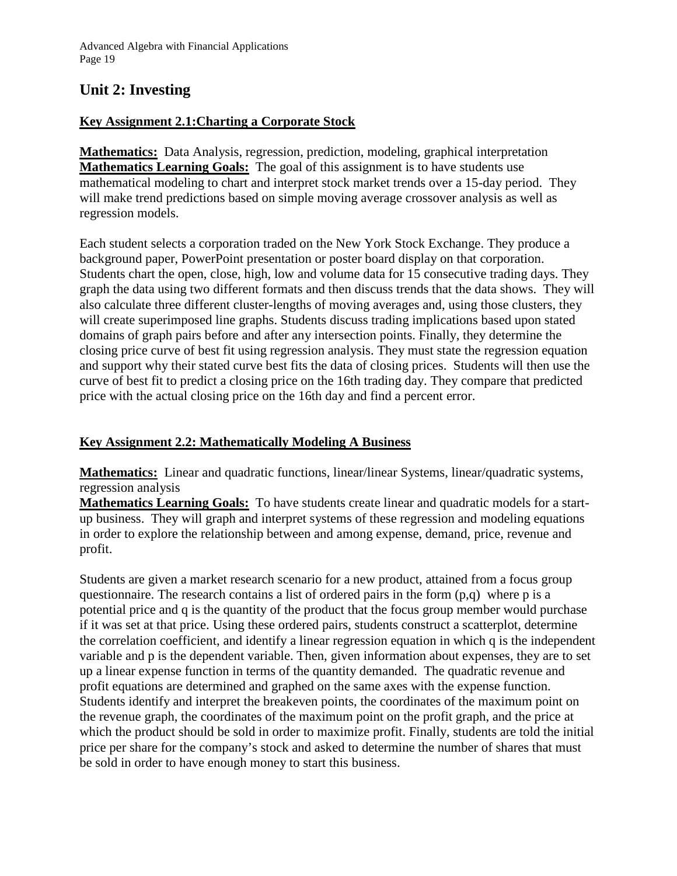## **Unit 2: Investing**

#### **Key Assignment 2.1:Charting a Corporate Stock**

**Mathematics:** Data Analysis, regression, prediction, modeling, graphical interpretation **Mathematics Learning Goals:** The goal of this assignment is to have students use mathematical modeling to chart and interpret stock market trends over a 15-day period. They will make trend predictions based on simple moving average crossover analysis as well as regression models.

Each student selects a corporation traded on the New York Stock Exchange. They produce a background paper, PowerPoint presentation or poster board display on that corporation. Students chart the open, close, high, low and volume data for 15 consecutive trading days. They graph the data using two different formats and then discuss trends that the data shows. They will also calculate three different cluster-lengths of moving averages and, using those clusters, they will create superimposed line graphs. Students discuss trading implications based upon stated domains of graph pairs before and after any intersection points. Finally, they determine the closing price curve of best fit using regression analysis. They must state the regression equation and support why their stated curve best fits the data of closing prices. Students will then use the curve of best fit to predict a closing price on the 16th trading day. They compare that predicted price with the actual closing price on the 16th day and find a percent error.

#### **Key Assignment 2.2: Mathematically Modeling A Business**

**Mathematics:** Linear and quadratic functions, linear/linear Systems, linear/quadratic systems, regression analysis

**Mathematics Learning Goals:** To have students create linear and quadratic models for a startup business. They will graph and interpret systems of these regression and modeling equations in order to explore the relationship between and among expense, demand, price, revenue and profit.

Students are given a market research scenario for a new product, attained from a focus group questionnaire. The research contains a list of ordered pairs in the form  $(p,q)$  where p is a potential price and q is the quantity of the product that the focus group member would purchase if it was set at that price. Using these ordered pairs, students construct a scatterplot, determine the correlation coefficient, and identify a linear regression equation in which q is the independent variable and p is the dependent variable. Then, given information about expenses, they are to set up a linear expense function in terms of the quantity demanded. The quadratic revenue and profit equations are determined and graphed on the same axes with the expense function. Students identify and interpret the breakeven points, the coordinates of the maximum point on the revenue graph, the coordinates of the maximum point on the profit graph, and the price at which the product should be sold in order to maximize profit. Finally, students are told the initial price per share for the company's stock and asked to determine the number of shares that must be sold in order to have enough money to start this business.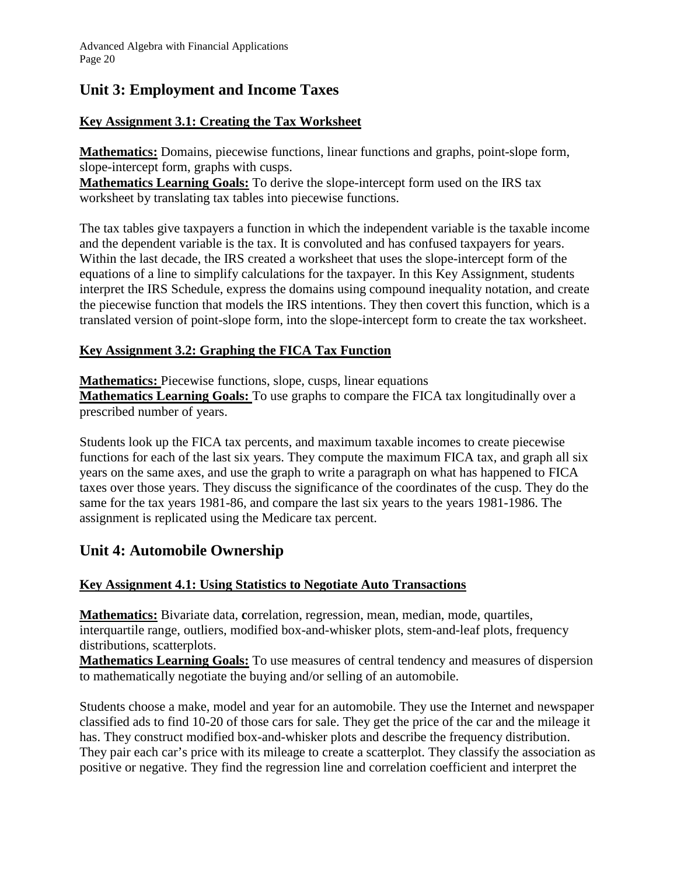## **Unit 3: Employment and Income Taxes**

### **Key Assignment 3.1: Creating the Tax Worksheet**

**Mathematics:** Domains, piecewise functions, linear functions and graphs, point-slope form, slope-intercept form, graphs with cusps.

**Mathematics Learning Goals:** To derive the slope-intercept form used on the IRS tax worksheet by translating tax tables into piecewise functions.

The tax tables give taxpayers a function in which the independent variable is the taxable income and the dependent variable is the tax. It is convoluted and has confused taxpayers for years. Within the last decade, the IRS created a worksheet that uses the slope-intercept form of the equations of a line to simplify calculations for the taxpayer. In this Key Assignment, students interpret the IRS Schedule, express the domains using compound inequality notation, and create the piecewise function that models the IRS intentions. They then covert this function, which is a translated version of point-slope form, into the slope-intercept form to create the tax worksheet.

### **Key Assignment 3.2: Graphing the FICA Tax Function**

**Mathematics:** Piecewise functions, slope, cusps, linear equations **Mathematics Learning Goals:** To use graphs to compare the FICA tax longitudinally over a prescribed number of years.

Students look up the FICA tax percents, and maximum taxable incomes to create piecewise functions for each of the last six years. They compute the maximum FICA tax, and graph all six years on the same axes, and use the graph to write a paragraph on what has happened to FICA taxes over those years. They discuss the significance of the coordinates of the cusp. They do the same for the tax years 1981-86, and compare the last six years to the years 1981-1986. The assignment is replicated using the Medicare tax percent.

## **Unit 4: Automobile Ownership**

#### **Key Assignment 4.1: Using Statistics to Negotiate Auto Transactions**

**Mathematics:** Bivariate data, **c**orrelation, regression, mean, median, mode, quartiles, interquartile range, outliers, modified box-and-whisker plots, stem-and-leaf plots, frequency distributions, scatterplots.

**Mathematics Learning Goals:** To use measures of central tendency and measures of dispersion to mathematically negotiate the buying and/or selling of an automobile.

Students choose a make, model and year for an automobile. They use the Internet and newspaper classified ads to find 10-20 of those cars for sale. They get the price of the car and the mileage it has. They construct modified box-and-whisker plots and describe the frequency distribution. They pair each car's price with its mileage to create a scatterplot. They classify the association as positive or negative. They find the regression line and correlation coefficient and interpret the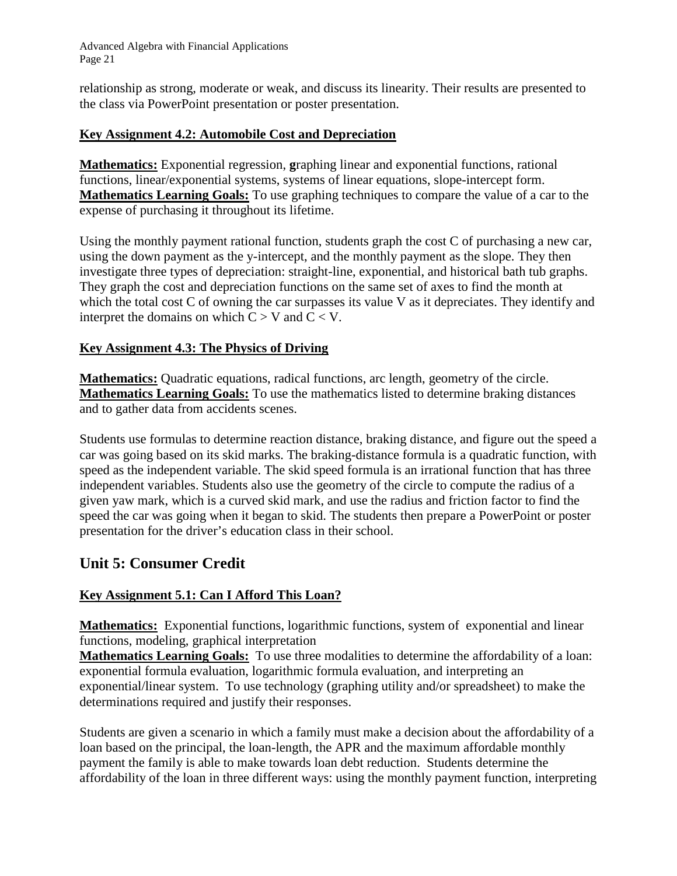relationship as strong, moderate or weak, and discuss its linearity. Their results are presented to the class via PowerPoint presentation or poster presentation.

#### **Key Assignment 4.2: Automobile Cost and Depreciation**

**Mathematics:** Exponential regression, **g**raphing linear and exponential functions, rational functions, linear/exponential systems, systems of linear equations, slope-intercept form. **Mathematics Learning Goals:** To use graphing techniques to compare the value of a car to the expense of purchasing it throughout its lifetime.

Using the monthly payment rational function, students graph the cost C of purchasing a new car, using the down payment as the y-intercept, and the monthly payment as the slope. They then investigate three types of depreciation: straight-line, exponential, and historical bath tub graphs. They graph the cost and depreciation functions on the same set of axes to find the month at which the total cost C of owning the car surpasses its value V as it depreciates. They identify and interpret the domains on which  $C > V$  and  $C < V$ .

#### **Key Assignment 4.3: The Physics of Driving**

**Mathematics:** Quadratic equations, radical functions, arc length, geometry of the circle. **Mathematics Learning Goals:** To use the mathematics listed to determine braking distances and to gather data from accidents scenes.

Students use formulas to determine reaction distance, braking distance, and figure out the speed a car was going based on its skid marks. The braking-distance formula is a quadratic function, with speed as the independent variable. The skid speed formula is an irrational function that has three independent variables. Students also use the geometry of the circle to compute the radius of a given yaw mark, which is a curved skid mark, and use the radius and friction factor to find the speed the car was going when it began to skid. The students then prepare a PowerPoint or poster presentation for the driver's education class in their school.

### **Unit 5: Consumer Credit**

#### **Key Assignment 5.1: Can I Afford This Loan?**

**Mathematics:** Exponential functions, logarithmic functions, system of exponential and linear functions, modeling, graphical interpretation

**Mathematics Learning Goals:** To use three modalities to determine the affordability of a loan: exponential formula evaluation, logarithmic formula evaluation, and interpreting an exponential/linear system. To use technology (graphing utility and/or spreadsheet) to make the determinations required and justify their responses.

Students are given a scenario in which a family must make a decision about the affordability of a loan based on the principal, the loan-length, the APR and the maximum affordable monthly payment the family is able to make towards loan debt reduction. Students determine the affordability of the loan in three different ways: using the monthly payment function, interpreting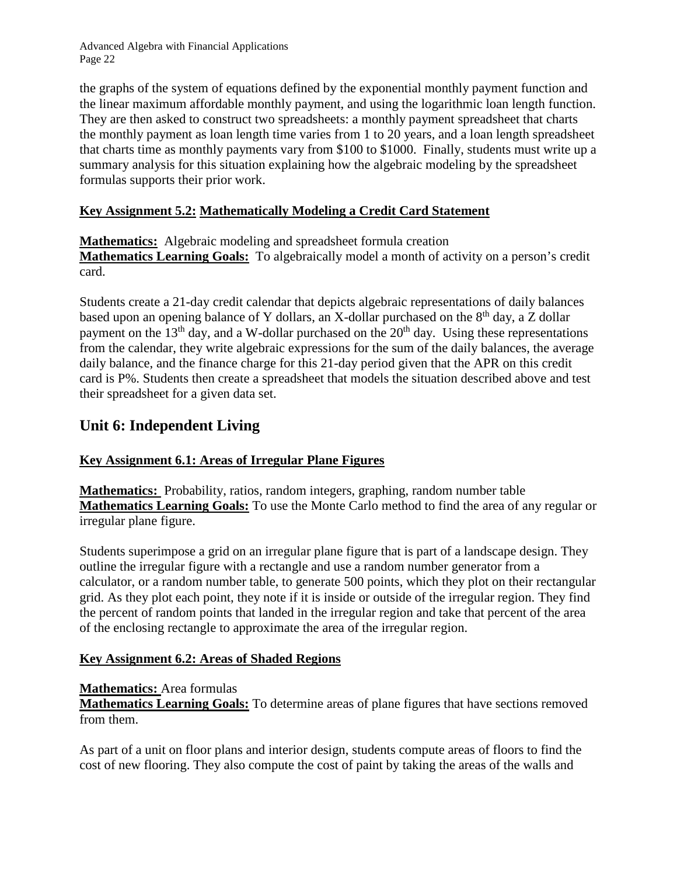the graphs of the system of equations defined by the exponential monthly payment function and the linear maximum affordable monthly payment, and using the logarithmic loan length function. They are then asked to construct two spreadsheets: a monthly payment spreadsheet that charts the monthly payment as loan length time varies from 1 to 20 years, and a loan length spreadsheet that charts time as monthly payments vary from \$100 to \$1000. Finally, students must write up a summary analysis for this situation explaining how the algebraic modeling by the spreadsheet formulas supports their prior work.

### **Key Assignment 5.2: Mathematically Modeling a Credit Card Statement**

**Mathematics:** Algebraic modeling and spreadsheet formula creation **Mathematics Learning Goals:** To algebraically model a month of activity on a person's credit card.

Students create a 21-day credit calendar that depicts algebraic representations of daily balances based upon an opening balance of Y dollars, an X-dollar purchased on the  $8<sup>th</sup>$  day, a Z dollar payment on the  $13<sup>th</sup>$  day, and a W-dollar purchased on the  $20<sup>th</sup>$  day. Using these representations from the calendar, they write algebraic expressions for the sum of the daily balances, the average daily balance, and the finance charge for this 21-day period given that the APR on this credit card is P%. Students then create a spreadsheet that models the situation described above and test their spreadsheet for a given data set.

## **Unit 6: Independent Living**

### **Key Assignment 6.1: Areas of Irregular Plane Figures**

**Mathematics:** Probability, ratios, random integers, graphing, random number table **Mathematics Learning Goals:** To use the Monte Carlo method to find the area of any regular or irregular plane figure.

Students superimpose a grid on an irregular plane figure that is part of a landscape design. They outline the irregular figure with a rectangle and use a random number generator from a calculator, or a random number table, to generate 500 points, which they plot on their rectangular grid. As they plot each point, they note if it is inside or outside of the irregular region. They find the percent of random points that landed in the irregular region and take that percent of the area of the enclosing rectangle to approximate the area of the irregular region.

#### **Key Assignment 6.2: Areas of Shaded Regions**

#### **Mathematics:** Area formulas

**Mathematics Learning Goals:** To determine areas of plane figures that have sections removed from them.

As part of a unit on floor plans and interior design, students compute areas of floors to find the cost of new flooring. They also compute the cost of paint by taking the areas of the walls and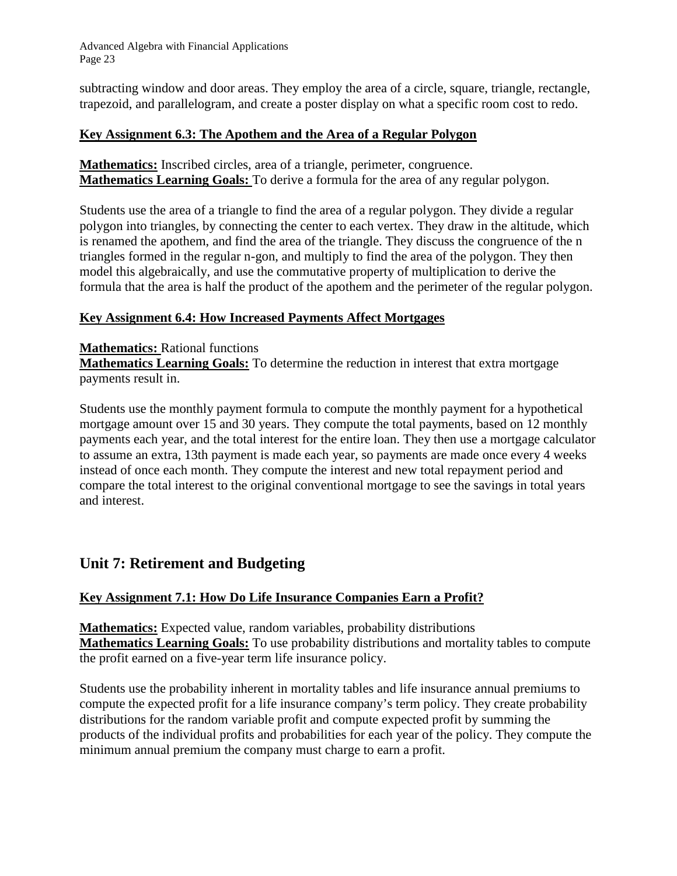subtracting window and door areas. They employ the area of a circle, square, triangle, rectangle, trapezoid, and parallelogram, and create a poster display on what a specific room cost to redo.

#### **Key Assignment 6.3: The Apothem and the Area of a Regular Polygon**

**Mathematics:** Inscribed circles, area of a triangle, perimeter, congruence. **Mathematics Learning Goals:** To derive a formula for the area of any regular polygon.

Students use the area of a triangle to find the area of a regular polygon. They divide a regular polygon into triangles, by connecting the center to each vertex. They draw in the altitude, which is renamed the apothem, and find the area of the triangle. They discuss the congruence of the n triangles formed in the regular n-gon, and multiply to find the area of the polygon. They then model this algebraically, and use the commutative property of multiplication to derive the formula that the area is half the product of the apothem and the perimeter of the regular polygon.

#### **Key Assignment 6.4: How Increased Payments Affect Mortgages**

#### **Mathematics:** Rational functions

**Mathematics Learning Goals:** To determine the reduction in interest that extra mortgage payments result in.

Students use the monthly payment formula to compute the monthly payment for a hypothetical mortgage amount over 15 and 30 years. They compute the total payments, based on 12 monthly payments each year, and the total interest for the entire loan. They then use a mortgage calculator to assume an extra, 13th payment is made each year, so payments are made once every 4 weeks instead of once each month. They compute the interest and new total repayment period and compare the total interest to the original conventional mortgage to see the savings in total years and interest.

## **Unit 7: Retirement and Budgeting**

#### **Key Assignment 7.1: How Do Life Insurance Companies Earn a Profit?**

**Mathematics:** Expected value, random variables, probability distributions **Mathematics Learning Goals:** To use probability distributions and mortality tables to compute the profit earned on a five-year term life insurance policy.

Students use the probability inherent in mortality tables and life insurance annual premiums to compute the expected profit for a life insurance company's term policy. They create probability distributions for the random variable profit and compute expected profit by summing the products of the individual profits and probabilities for each year of the policy. They compute the minimum annual premium the company must charge to earn a profit.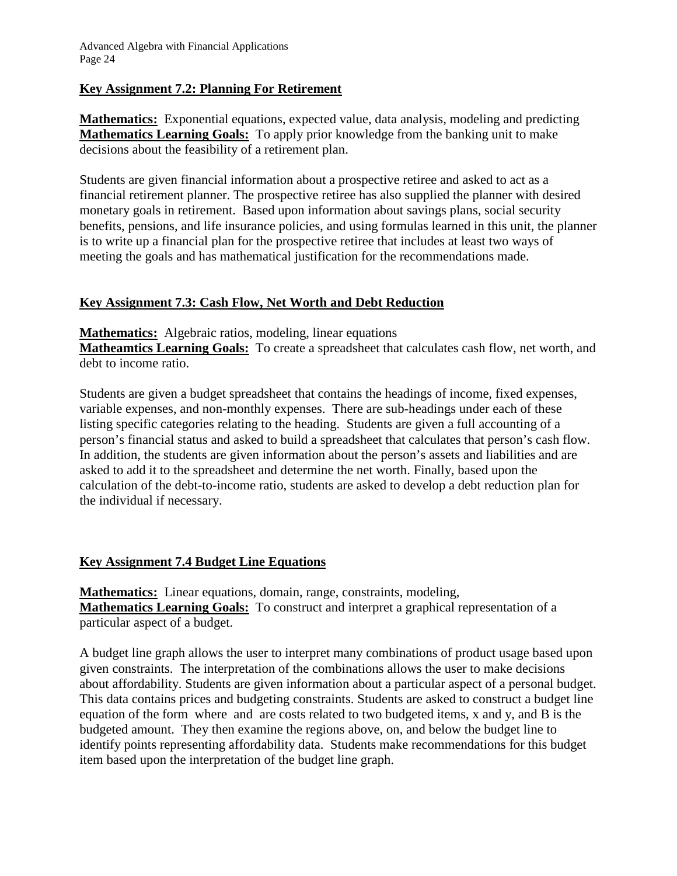#### **Key Assignment 7.2: Planning For Retirement**

**Mathematics:** Exponential equations, expected value, data analysis, modeling and predicting **Mathematics Learning Goals:** To apply prior knowledge from the banking unit to make decisions about the feasibility of a retirement plan.

Students are given financial information about a prospective retiree and asked to act as a financial retirement planner. The prospective retiree has also supplied the planner with desired monetary goals in retirement. Based upon information about savings plans, social security benefits, pensions, and life insurance policies, and using formulas learned in this unit, the planner is to write up a financial plan for the prospective retiree that includes at least two ways of meeting the goals and has mathematical justification for the recommendations made.

#### **Key Assignment 7.3: Cash Flow, Net Worth and Debt Reduction**

**Mathematics:** Algebraic ratios, modeling, linear equations

**Matheamtics Learning Goals:** To create a spreadsheet that calculates cash flow, net worth, and debt to income ratio.

Students are given a budget spreadsheet that contains the headings of income, fixed expenses, variable expenses, and non-monthly expenses. There are sub-headings under each of these listing specific categories relating to the heading. Students are given a full accounting of a person's financial status and asked to build a spreadsheet that calculates that person's cash flow. In addition, the students are given information about the person's assets and liabilities and are asked to add it to the spreadsheet and determine the net worth. Finally, based upon the calculation of the debt-to-income ratio, students are asked to develop a debt reduction plan for the individual if necessary.

#### **Key Assignment 7.4 Budget Line Equations**

**Mathematics:** Linear equations, domain, range, constraints, modeling, **Mathematics Learning Goals:** To construct and interpret a graphical representation of a particular aspect of a budget.

A budget line graph allows the user to interpret many combinations of product usage based upon given constraints. The interpretation of the combinations allows the user to make decisions about affordability. Students are given information about a particular aspect of a personal budget. This data contains prices and budgeting constraints. Students are asked to construct a budget line equation of the form where and are costs related to two budgeted items, x and y, and B is the budgeted amount. They then examine the regions above, on, and below the budget line to identify points representing affordability data. Students make recommendations for this budget item based upon the interpretation of the budget line graph.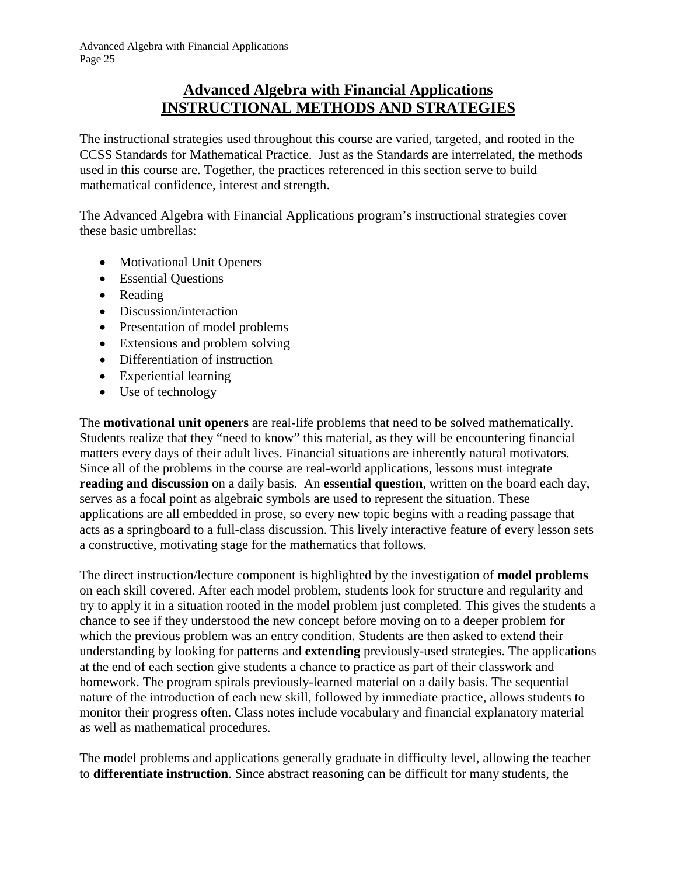## **Advanced Algebra with Financial Applications INSTRUCTIONAL METHODS AND STRATEGIES**

The instructional strategies used throughout this course are varied, targeted, and rooted in the CCSS Standards for Mathematical Practice. Just as the Standards are interrelated, the methods used in this course are. Together, the practices referenced in this section serve to build mathematical confidence, interest and strength.

The Advanced Algebra with Financial Applications program's instructional strategies cover these basic umbrellas:

- Motivational Unit Openers
- Essential Questions
- Reading
- Discussion/interaction
- Presentation of model problems
- Extensions and problem solving
- Differentiation of instruction
- Experiential learning
- Use of technology

The **motivational unit openers** are real-life problems that need to be solved mathematically. Students realize that they "need to know" this material, as they will be encountering financial matters every days of their adult lives. Financial situations are inherently natural motivators. Since all of the problems in the course are real-world applications, lessons must integrate **reading and discussion** on a daily basis. An **essential question**, written on the board each day, serves as a focal point as algebraic symbols are used to represent the situation. These applications are all embedded in prose, so every new topic begins with a reading passage that acts as a springboard to a full-class discussion. This lively interactive feature of every lesson sets a constructive, motivating stage for the mathematics that follows.

The direct instruction/lecture component is highlighted by the investigation of **model problems** on each skill covered. After each model problem, students look for structure and regularity and try to apply it in a situation rooted in the model problem just completed. This gives the students a chance to see if they understood the new concept before moving on to a deeper problem for which the previous problem was an entry condition. Students are then asked to extend their understanding by looking for patterns and **extending** previously-used strategies. The applications at the end of each section give students a chance to practice as part of their classwork and homework. The program spirals previously-learned material on a daily basis. The sequential nature of the introduction of each new skill, followed by immediate practice, allows students to monitor their progress often. Class notes include vocabulary and financial explanatory material as well as mathematical procedures.

The model problems and applications generally graduate in difficulty level, allowing the teacher to **differentiate instruction**. Since abstract reasoning can be difficult for many students, the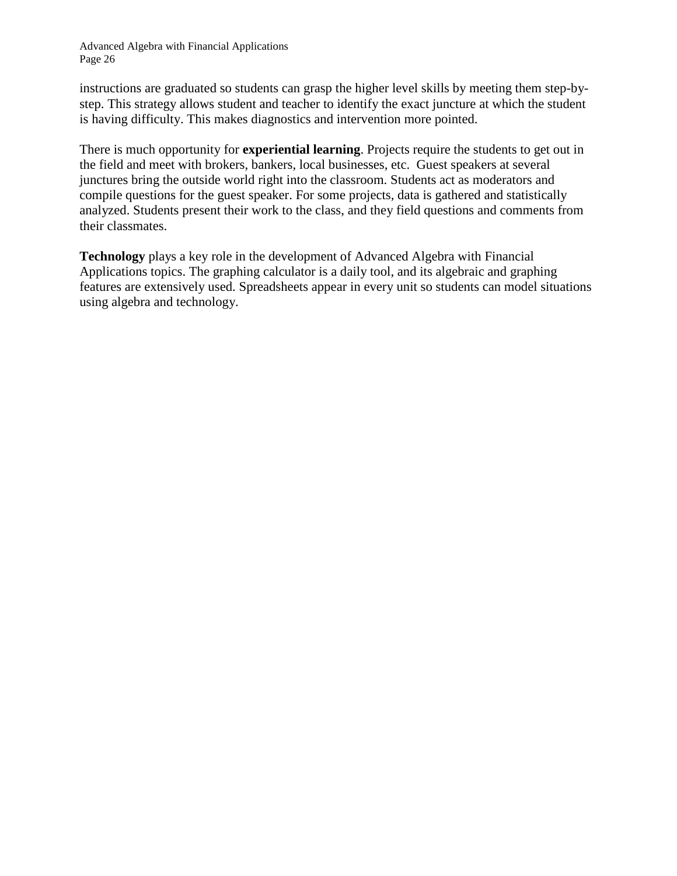instructions are graduated so students can grasp the higher level skills by meeting them step-bystep. This strategy allows student and teacher to identify the exact juncture at which the student is having difficulty. This makes diagnostics and intervention more pointed.

There is much opportunity for **experiential learning**. Projects require the students to get out in the field and meet with brokers, bankers, local businesses, etc. Guest speakers at several junctures bring the outside world right into the classroom. Students act as moderators and compile questions for the guest speaker. For some projects, data is gathered and statistically analyzed. Students present their work to the class, and they field questions and comments from their classmates.

**Technology** plays a key role in the development of Advanced Algebra with Financial Applications topics. The graphing calculator is a daily tool, and its algebraic and graphing features are extensively used. Spreadsheets appear in every unit so students can model situations using algebra and technology.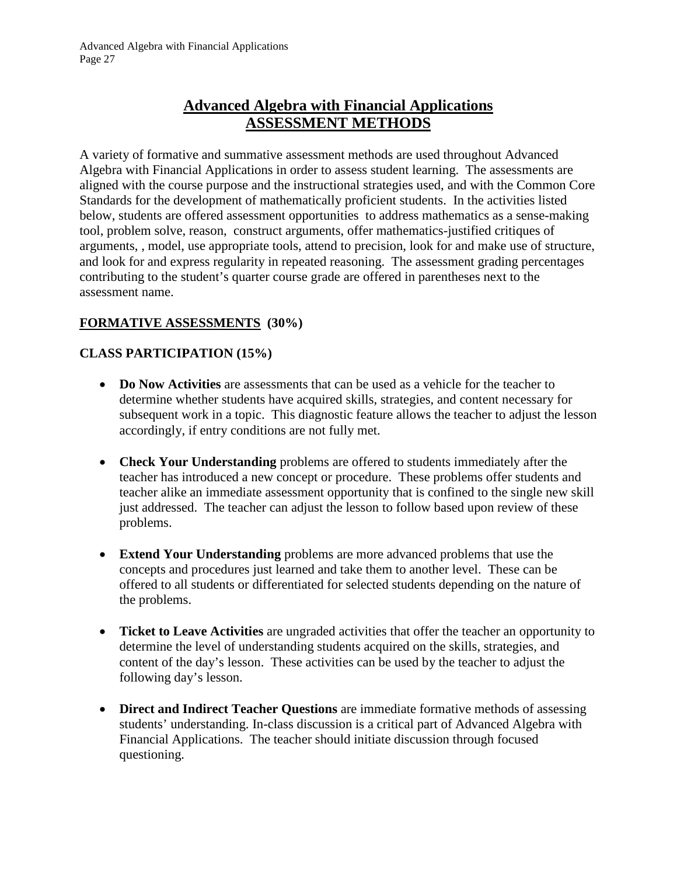# **Advanced Algebra with Financial Applications ASSESSMENT METHODS**

A variety of formative and summative assessment methods are used throughout Advanced Algebra with Financial Applications in order to assess student learning. The assessments are aligned with the course purpose and the instructional strategies used, and with the Common Core Standards for the development of mathematically proficient students. In the activities listed below, students are offered assessment opportunities to address mathematics as a sense-making tool, problem solve, reason, construct arguments, offer mathematics-justified critiques of arguments, , model, use appropriate tools, attend to precision, look for and make use of structure, and look for and express regularity in repeated reasoning. The assessment grading percentages contributing to the student's quarter course grade are offered in parentheses next to the assessment name.

### **FORMATIVE ASSESSMENTS (30%)**

### **CLASS PARTICIPATION (15%)**

- **Do Now Activities** are assessments that can be used as a vehicle for the teacher to determine whether students have acquired skills, strategies, and content necessary for subsequent work in a topic. This diagnostic feature allows the teacher to adjust the lesson accordingly, if entry conditions are not fully met.
- **Check Your Understanding** problems are offered to students immediately after the teacher has introduced a new concept or procedure. These problems offer students and teacher alike an immediate assessment opportunity that is confined to the single new skill just addressed. The teacher can adjust the lesson to follow based upon review of these problems.
- **Extend Your Understanding** problems are more advanced problems that use the concepts and procedures just learned and take them to another level. These can be offered to all students or differentiated for selected students depending on the nature of the problems.
- **Ticket to Leave Activities** are ungraded activities that offer the teacher an opportunity to determine the level of understanding students acquired on the skills, strategies, and content of the day's lesson. These activities can be used by the teacher to adjust the following day's lesson.
- **Direct and Indirect Teacher Questions** are immediate formative methods of assessing students' understanding. In-class discussion is a critical part of Advanced Algebra with Financial Applications. The teacher should initiate discussion through focused questioning.